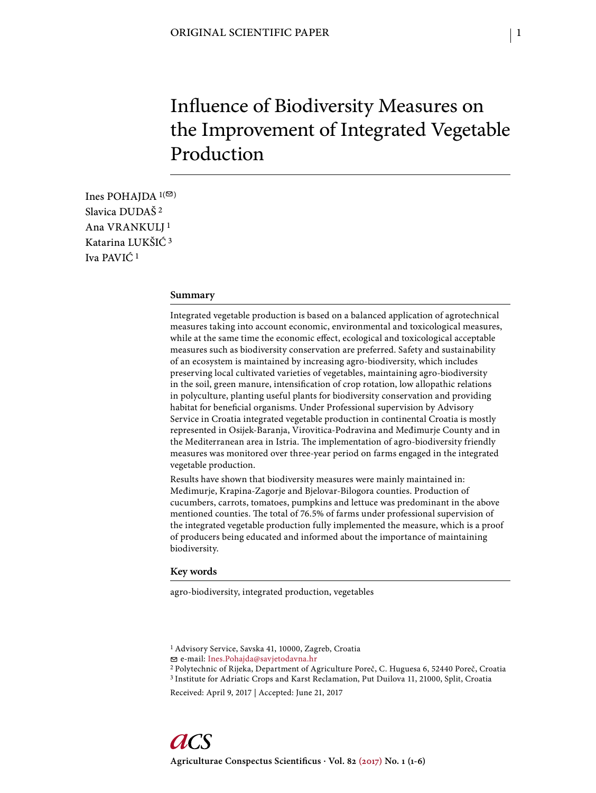# Influence of Biodiversity Measures on the Improvement of Integrated Vegetable Production

Ines POHAJDA  $1($ Slavica DUDAŠ 2 Ana VRANKULJ 1 Katarina LUKŠIĆ 3 Iva PAVIĆ 1

#### **Summary**

Integrated vegetable production is based on a balanced application of agrotechnical measures taking into account economic, environmental and toxicological measures, while at the same time the economic effect, ecological and toxicological acceptable measures such as biodiversity conservation are preferred. Safety and sustainability of an ecosystem is maintained by increasing agro-biodiversity, which includes preserving local cultivated varieties of vegetables, maintaining agro-biodiversity in the soil, green manure, intensification of crop rotation, low allopathic relations in polyculture, planting useful plants for biodiversity conservation and providing habitat for beneficial organisms. Under Professional supervision by Advisory Service in Croatia integrated vegetable production in continental Croatia is mostly represented in Osijek-Baranja, Virovitica-Podravina and Međimurje County and in the Mediterranean area in Istria. The implementation of agro-biodiversity friendly measures was monitored over three-year period on farms engaged in the integrated vegetable production.

Results have shown that biodiversity measures were mainly maintained in: Međimurje, Krapina-Zagorje and Bjelovar-Bilogora counties. Production of cucumbers, carrots, tomatoes, pumpkins and lettuce was predominant in the above mentioned counties. The total of 76.5% of farms under professional supervision of the integrated vegetable production fully implemented the measure, which is a proof of producers being educated and informed about the importance of maintaining biodiversity.

#### **Key words**

agro-biodiversity, integrated production, vegetables

<sup>1</sup> Advisory Service, Savska 41, 10000, Zagreb, Croatia

e-mail: Ines.Pohajda@savjetodavna.hr

<sup>2</sup> Polytechnic of Rijeka, Department of Agriculture Poreč, C. Huguesa 6, 52440 Poreč, Croatia 3 Institute for Adriatic Crops and Karst Reclamation, Put Duilova 11, 21000, Split, Croatia

Received: April 9, 2017 | Accepted: June 21, 2017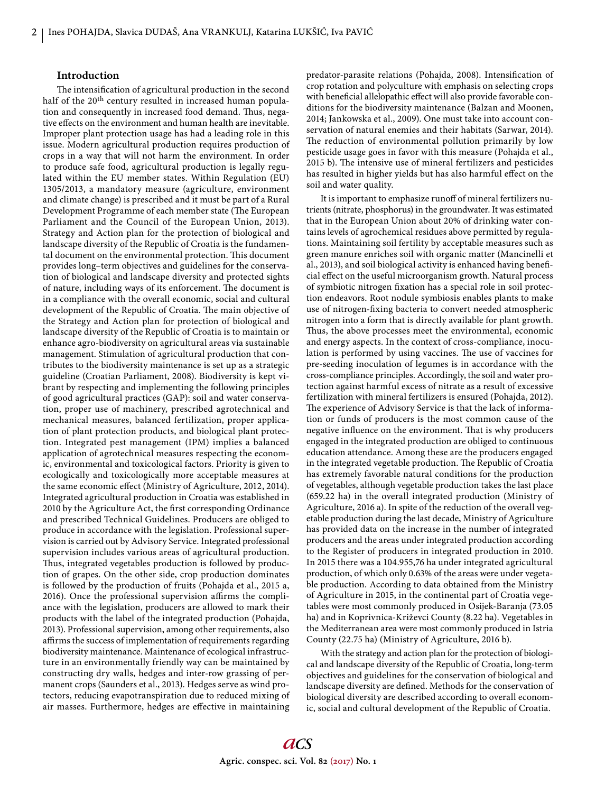### **Introduction**

The intensification of agricultural production in the second half of the 20<sup>th</sup> century resulted in increased human population and consequently in increased food demand. Thus, negative effects on the environment and human health are inevitable. Improper plant protection usage has had a leading role in this issue. Modern agricultural production requires production of crops in a way that will not harm the environment. In order to produce safe food, agricultural production is legally regulated within the EU member states. Within Regulation (EU) 1305/2013, a mandatory measure (agriculture, environment and climate change) is prescribed and it must be part of a Rural Development Programme of each member state (The European Parliament and the Council of the European Union, 2013). Strategy and Action plan for the protection of biological and landscape diversity of the Republic of Croatia is the fundamental document on the environmental protection. This document provides long–term objectives and guidelines for the conservation of biological and landscape diversity and protected sights of nature, including ways of its enforcement. The document is in a compliance with the overall economic, social and cultural development of the Republic of Croatia. The main objective of the Strategy and Action plan for protection of biological and landscape diversity of the Republic of Croatia is to maintain or enhance agro-biodiversity on agricultural areas via sustainable management. Stimulation of agricultural production that contributes to the biodiversity maintenance is set up as a strategic guideline (Croatian Parliament, 2008). Biodiversity is kept vibrant by respecting and implementing the following principles of good agricultural practices (GAP): soil and water conservation, proper use of machinery, prescribed agrotechnical and mechanical measures, balanced fertilization, proper application of plant protection products, and biological plant protection. Integrated pest management (IPM) implies a balanced application of agrotechnical measures respecting the economic, environmental and toxicological factors. Priority is given to ecologically and toxicologically more acceptable measures at the same economic effect (Ministry of Agriculture, 2012, 2014). Integrated agricultural production in Croatia was established in 2010 by the Agriculture Act, the first corresponding Ordinance and prescribed Technical Guidelines. Producers are obliged to produce in accordance with the legislation. Professional supervision is carried out by Advisory Service. Integrated professional supervision includes various areas of agricultural production. Thus, integrated vegetables production is followed by production of grapes. On the other side, crop production dominates is followed by the production of fruits (Pohajda et al., 2015 a, 2016). Once the professional supervision affirms the compliance with the legislation, producers are allowed to mark their products with the label of the integrated production (Pohajda, 2013). Professional supervision, among other requirements, also affirms the success of implementation of requirements regarding biodiversity maintenance. Maintenance of ecological infrastructure in an environmentally friendly way can be maintained by constructing dry walls, hedges and inter-row grassing of permanent crops (Saunders et al., 2013). Hedges serve as wind protectors, reducing evapotranspiration due to reduced mixing of air masses. Furthermore, hedges are effective in maintaining

predator-parasite relations (Pohajda, 2008). Intensification of crop rotation and polyculture with emphasis on selecting crops with beneficial allelopathic effect will also provide favorable conditions for the biodiversity maintenance (Balzan and Moonen, 2014; Jankowska et al., 2009). One must take into account conservation of natural enemies and their habitats (Sarwar, 2014). The reduction of environmental pollution primarily by low pesticide usage goes in favor with this measure (Pohajda et al., 2015 b). The intensive use of mineral fertilizers and pesticides has resulted in higher yields but has also harmful effect on the soil and water quality.

It is important to emphasize runoff of mineral fertilizers nutrients (nitrate, phosphorus) in the groundwater. It was estimated that in the European Union about 20% of drinking water contains levels of agrochemical residues above permitted by regulations. Maintaining soil fertility by acceptable measures such as green manure enriches soil with organic matter (Mancinelli et al., 2013), and soil biological activity is enhanced having beneficial effect on the useful microorganism growth. Natural process of symbiotic nitrogen fixation has a special role in soil protection endeavors. Root nodule symbiosis enables plants to make use of nitrogen-fixing bacteria to convert needed atmospheric nitrogen into a form that is directly available for plant growth. Thus, the above processes meet the environmental, economic and energy aspects. In the context of cross-compliance, inoculation is performed by using vaccines. The use of vaccines for pre-seeding inoculation of legumes is in accordance with the cross-compliance principles. Accordingly, the soil and water protection against harmful excess of nitrate as a result of excessive fertilization with mineral fertilizers is ensured (Pohajda, 2012). The experience of Advisory Service is that the lack of information or funds of producers is the most common cause of the negative influence on the environment. That is why producers engaged in the integrated production are obliged to continuous education attendance. Among these are the producers engaged in the integrated vegetable production. The Republic of Croatia has extremely favorable natural conditions for the production of vegetables, although vegetable production takes the last place (659.22 ha) in the overall integrated production (Ministry of Agriculture, 2016 a). In spite of the reduction of the overall vegetable production during the last decade, Ministry of Agriculture has provided data on the increase in the number of integrated producers and the areas under integrated production according to the Register of producers in integrated production in 2010. In 2015 there was a 104.955,76 ha under integrated agricultural production, of which only 0.63% of the areas were under vegetable production. According to data obtained from the Ministry of Agriculture in 2015, in the continental part of Croatia vegetables were most commonly produced in Osijek-Baranja (73.05 ha) and in Koprivnica-Križevci County (8.22 ha). Vegetables in the Mediterranean area were most commonly produced in Istria County (22.75 ha) (Ministry of Agriculture, 2016 b).

With the strategy and action plan for the protection of biological and landscape diversity of the Republic of Croatia, long-term objectives and guidelines for the conservation of biological and landscape diversity are defined. Methods for the conservation of biological diversity are described according to overall economic, social and cultural development of the Republic of Croatia.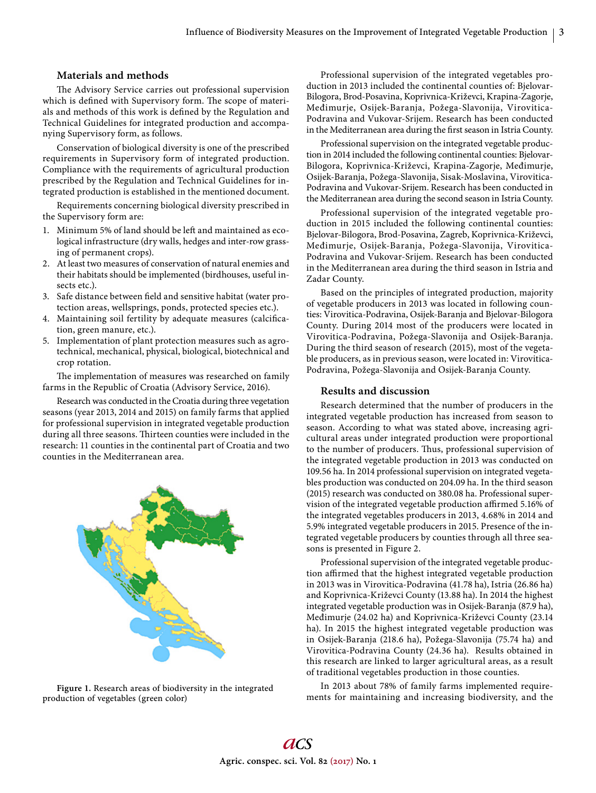### **Materials and methods**

The Advisory Service carries out professional supervision which is defined with Supervisory form. The scope of materials and methods of this work is defined by the Regulation and Technical Guidelines for integrated production and accompanying Supervisory form, as follows.

Conservation of biological diversity is one of the prescribed requirements in Supervisory form of integrated production. Compliance with the requirements of agricultural production prescribed by the Regulation and Technical Guidelines for integrated production is established in the mentioned document.

Requirements concerning biological diversity prescribed in the Supervisory form are:

- 1. Minimum 5% of land should be left and maintained as ecological infrastructure (dry walls, hedges and inter-row grassing of permanent crops).
- 2. At least two measures of conservation of natural enemies and their habitats should be implemented (birdhouses, useful insects etc.).
- 3. Safe distance between field and sensitive habitat (water protection areas, wellsprings, ponds, protected species etc.).
- 4. Maintaining soil fertility by adequate measures (calcification, green manure, etc.).
- 5. Implementation of plant protection measures such as agrotechnical, mechanical, physical, biological, biotechnical and crop rotation.

The implementation of measures was researched on family farms in the Republic of Croatia (Advisory Service, 2016).

Research was conducted in the Croatia during three vegetation seasons (year 2013, 2014 and 2015) on family farms that applied for professional supervision in integrated vegetable production during all three seasons. Thirteen counties were included in the research: 11 counties in the continental part of Croatia and two counties in the Mediterranean area.



**Figure 1.** Research areas of biodiversity in the integrated production of vegetables (green color)

Professional supervision of the integrated vegetables production in 2013 included the continental counties of: Bjelovar-Bilogora, Brod-Posavina, Koprivnica-Križevci, Krapina-Zagorje, Međimurje, Osijek-Baranja, Požega-Slavonija, Virovitica-Podravina and Vukovar-Srijem. Research has been conducted in the Mediterranean area during the first season in Istria County.

Professional supervision on the integrated vegetable production in 2014 included the following continental counties: Bjelovar-Bilogora, Koprivnica-Križevci, Krapina-Zagorje, Međimurje, Osijek-Baranja, Požega-Slavonija, Sisak-Moslavina, Virovitica-Podravina and Vukovar-Srijem. Research has been conducted in the Mediterranean area during the second season in Istria County.

Professional supervision of the integrated vegetable production in 2015 included the following continental counties: Bjelovar-Bilogora, Brod-Posavina, Zagreb, Koprivnica-Križevci, Međimurje, Osijek-Baranja, Požega-Slavonija, Virovitica-Podravina and Vukovar-Srijem. Research has been conducted in the Mediterranean area during the third season in Istria and Zadar County.

Based on the principles of integrated production, majority of vegetable producers in 2013 was located in following counties: Virovitica-Podravina, Osijek-Baranja and Bjelovar-Bilogora County. During 2014 most of the producers were located in Virovitica-Podravina, Požega-Slavonija and Osijek-Baranja. During the third season of research (2015), most of the vegetable producers, as in previous season, were located in: Virovitica-Podravina, Požega-Slavonija and Osijek-Baranja County.

# **Results and discussion**

Research determined that the number of producers in the integrated vegetable production has increased from season to season. According to what was stated above, increasing agricultural areas under integrated production were proportional to the number of producers. Thus, professional supervision of the integrated vegetable production in 2013 was conducted on 109.56 ha. In 2014 professional supervision on integrated vegetables production was conducted on 204.09 ha. In the third season (2015) research was conducted on 380.08 ha. Professional supervision of the integrated vegetable production affirmed 5.16% of the integrated vegetables producers in 2013, 4.68% in 2014 and 5.9% integrated vegetable producers in 2015. Presence of the integrated vegetable producers by counties through all three seasons is presented in Figure 2.

Professional supervision of the integrated vegetable production affirmed that the highest integrated vegetable production in 2013 was in Virovitica-Podravina (41.78 ha), Istria (26.86 ha) and Koprivnica-Križevci County (13.88 ha). In 2014 the highest integrated vegetable production was in Osijek-Baranja (87.9 ha), Međimurje (24.02 ha) and Koprivnica-Križevci County (23.14 ha). In 2015 the highest integrated vegetable production was in Osijek-Baranja (218.6 ha), Požega-Slavonija (75.74 ha) and Virovitica-Podravina County (24.36 ha). Results obtained in this research are linked to larger agricultural areas, as a result of traditional vegetables production in those counties.

In 2013 about 78% of family farms implemented requirements for maintaining and increasing biodiversity, and the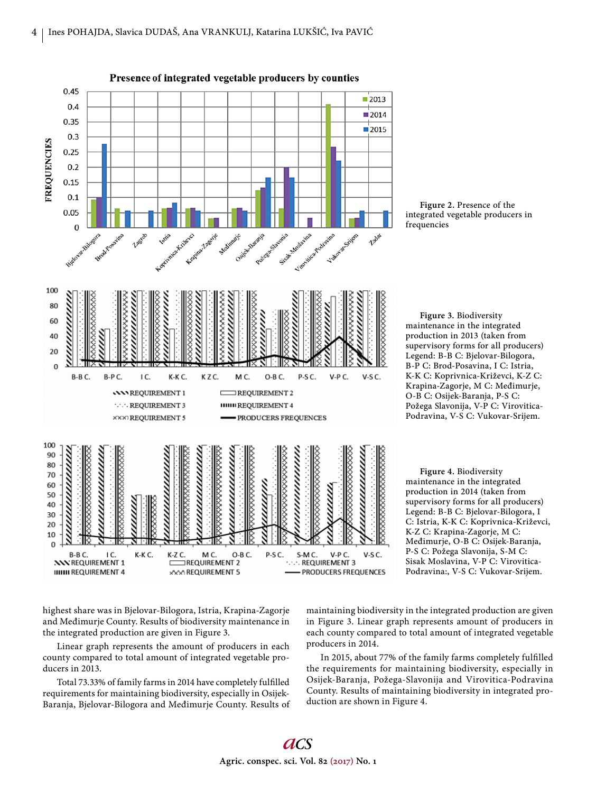

Presence of integrated vegetable producers by counties

**Figure 2.** Presence of the integrated vegetable producers in frequencies

**Figure 3.** Biodiversity maintenance in the integrated production in 2013 (taken from supervisory forms for all producers) Legend: B-B C: Bjelovar-Bilogora, B-P C: Brod-Posavina, I C: Istria, K-K C: Koprivnica-Križevci, K-Z C: Krapina-Zagorje, M C: Međimurje, O-B C: Osijek-Baranja, P-S C: Požega Slavonija, V-P C: Virovitica-Podravina, V-S C: Vukovar-Srijem.

**Figure 4.** Biodiversity maintenance in the integrated production in 2014 (taken from supervisory forms for all producers) Legend: B-B C: Bjelovar-Bilogora, I C: Istria, K-K C: Koprivnica-Križevci, K-Z C: Krapina-Zagorje, M C: Međimurje, O-B C: Osijek-Baranja, P-S C: Požega Slavonija, S-M C: Sisak Moslavina, V-P C: Virovitica-Podravina:, V-S C: Vukovar-Srijem.

highest share was in Bjelovar-Bilogora, Istria, Krapina-Zagorje and Međimurje County. Results of biodiversity maintenance in the integrated production are given in Figure 3.

Linear graph represents the amount of producers in each county compared to total amount of integrated vegetable producers in 2013.

Total 73.33% of family farms in 2014 have completely fulfilled requirements for maintaining biodiversity, especially in Osijek-Baranja, Bjelovar-Bilogora and Međimurje County. Results of maintaining biodiversity in the integrated production are given in Figure 3. Linear graph represents amount of producers in each county compared to total amount of integrated vegetable producers in 2014.

In 2015, about 77% of the family farms completely fulfilled the requirements for maintaining biodiversity, especially in Osijek-Baranja, Požega-Slavonija and Virovitica-Podravina County. Results of maintaining biodiversity in integrated production are shown in Figure 4.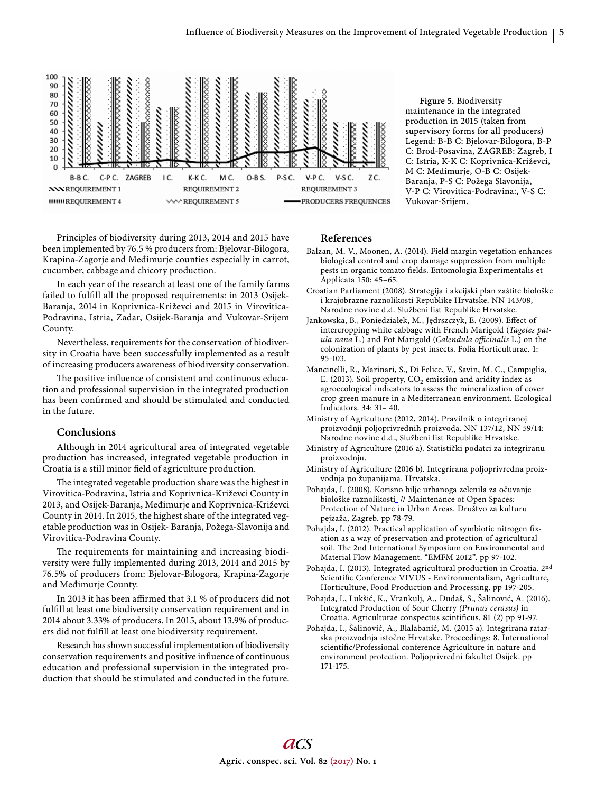

**Figure 5.** Biodiversity maintenance in the integrated production in 2015 (taken from supervisory forms for all producers) Legend: B-B C: Bjelovar-Bilogora, B-P C: Brod-Posavina, ZAGREB: Zagreb, I C: Istria, K-K C: Koprivnica-Križevci, M C: Međimurje, O-B C: Osijek-Baranja, P-S C: Požega Slavonija, V-P C: Virovitica-Podravina:, V-S C: Vukovar-Srijem.

Principles of biodiversity during 2013, 2014 and 2015 have been implemented by 76.5 % producers from: Bjelovar-Bilogora, Krapina-Zagorje and Međimurje counties especially in carrot, cucumber, cabbage and chicory production.

In each year of the research at least one of the family farms failed to fulfill all the proposed requirements: in 2013 Osijek-Baranja, 2014 in Koprivnica-Križevci and 2015 in Virovitica-Podravina, Istria, Zadar, Osijek-Baranja and Vukovar-Srijem County.

Nevertheless, requirements for the conservation of biodiversity in Croatia have been successfully implemented as a result of increasing producers awareness of biodiversity conservation.

The positive influence of consistent and continuous education and professional supervision in the integrated production has been confirmed and should be stimulated and conducted in the future.

### **Conclusions**

Although in 2014 agricultural area of integrated vegetable production has increased, integrated vegetable production in Croatia is a still minor field of agriculture production.

The integrated vegetable production share was the highest in Virovitica-Podravina, Istria and Koprivnica-Križevci County in 2013, and Osijek-Baranja, Međimurje and Koprivnica-Križevci County in 2014. In 2015, the highest share of the integrated vegetable production was in Osijek- Baranja, Požega-Slavonija and Virovitica-Podravina County.

The requirements for maintaining and increasing biodiversity were fully implemented during 2013, 2014 and 2015 by 76.5% of producers from: Bjelovar-Bilogora, Krapina-Zagorje and Međimurje County.

In 2013 it has been affirmed that 3.1 % of producers did not fulfill at least one biodiversity conservation requirement and in 2014 about 3.33% of producers. In 2015, about 13.9% of producers did not fulfill at least one biodiversity requirement.

Research has shown successful implementation of biodiversity conservation requirements and positive influence of continuous education and professional supervision in the integrated production that should be stimulated and conducted in the future.

## **References**

- Balzan, M. V., Moonen, A. (2014). Field margin vegetation enhances biological control and crop damage suppression from multiple pests in organic tomato fields. Entomologia Experimentalis et Applicata 150: 45–65.
- Croatian Parliament (2008). Strategija i akcijski plan zaštite biološke i krajobrazne raznolikosti Republike Hrvatske. NN 143/08, Narodne novine d.d. Službeni list Republike Hrvatske.
- Jankowska, B., Poniedziałek, M., Jędrszczyk, E. (2009). Effect of intercropping white cabbage with French Marigold (*Tagetes patula nana* L.) and Pot Marigold (*Calendula officinalis* L.) on the colonization of plants by pest insects. Folia Horticulturae. 1: 95-103.
- Mancinelli, R., Marinari, S., Di Felice, V., Savin, M. C., Campiglia, E. (2013). Soil property,  $CO<sub>2</sub>$  emission and aridity index as agroecological indicators to assess the mineralization of cover crop green manure in a Mediterranean environment. Ecological Indicators. 34: 31– 40.

Ministry of Agriculture (2012, 2014). Pravilnik o integriranoj proizvodnji poljoprivrednih proizvoda. NN 137/12, NN 59/14: Narodne novine d.d., Službeni list Republike Hrvatske.

- Ministry of Agriculture (2016 a). Statistički podatci za integriranu proizvodnju.
- Ministry of Agriculture (2016 b). Integrirana poljoprivredna proizvodnja po županijama. Hrvatska.
- Pohajda, I. (2008). Korisno bilje urbanoga zelenila za očuvanje biološke raznolikosti\_ // Maintenance of Open Spaces: Protection of Nature in Urban Areas. Društvo za kulturu pejzaža, Zagreb. pp 78-79.
- Pohajda, I. (2012). Practical application of symbiotic nitrogen fixation as a way of preservation and protection of agricultural soil. The 2nd International Symposium on Environmental and Material Flow Management. "EMFM 2012". pp 97-102.
- Pohajda, I. (2013). Integrated agricultural production in Croatia. 2nd Scientific Conference VIVUS - Environmentalism, Agriculture, Horticulture, Food Production and Processing. pp 197-205.
- Pohajda, I., Lukšić, K., Vrankulj, A., Dudaš, S., Šalinović, A. (2016). Integrated Production of Sour Cherry *(Prunus cerasus)* in Croatia. Agriculturae conspectus scintificus. 81 (2) pp 91-97.
- Pohajda, I., Šalinović, A., Blalabanić, M. (2015 a). Integrirana ratarska proizvodnja istočne Hrvatske. Proceedings: 8. International scientific/Professional conference Agriculture in nature and environment protection. Poljoprivredni fakultet Osijek. pp 171-175.